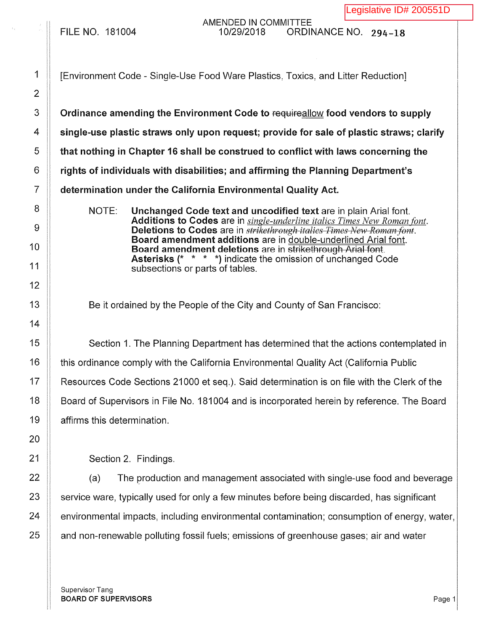AMENDED IN COMMITTEE<br>10/29/2018 QRDII FILE NO. 181004 10/29/2018 ORDINANCE NO. 294-18

1 | [Environment Code - Single-Use Food Ware Plastics, Toxics, and Litter Reduction]

3 **Commandig 1** Ordinance amending the Environment Code to requireallow food vendors to supply  $4 \parallel$  single-use plastic straws only upon request; provide for sale of plastic straws; clarify  $5 \parallel$  that nothing in Chapter 16 shall be construed to conflict with laws concerning the  $6$   $\parallel$  rights of individuals with disabilities; and affirming the Planning Department's 7 determination under the California Environmental Quality Act.

> NOTE: Unchanged Code text and uncodified text are in plain Arial font. Additions to Codes are in *single-underline italics Times New Roman font.*  Deletions to Codes are in *strikethrough italics Times New Roman font.*  Board amendment additions are in double-underlined Arial font. Board amendment deletions are in strikethrough Arial font. Asterisks (\* \* \* \*) indicate the omission of unchanged Code subsections or parts of tables.

Be it ordained by the People of the City and County of San Francisco:

15 Section 1. The Planning Department has determined that the actions contemplated in 16 | this ordinance comply with the California Environmental Quality Act (California Public 17 | Resources Code Sections 21000 et seq.). Said determination is on file with the Clerk of the 18 | Board of Supervisors in File No. 181004 and is incorporated herein by reference. The Board 19 affirms this determination.

Section 2. Findings.

  $\parallel$  (a) The production and management associated with single-use food and beverage  $\parallel$  service ware, typically used for only a few minutes before being discarded, has significant **environmental impacts, including environmental contamination**; consumption of energy, water,  $\parallel$  and non-renewable polluting fossil fuels; emissions of greenhouse gases; air and water

Supervisor Tang BOARD OF SUPERVISORS And the state of the state of the state of the state of the state of the state of the state of the state of the state of the state of the state of the state of the state of the state of the state of th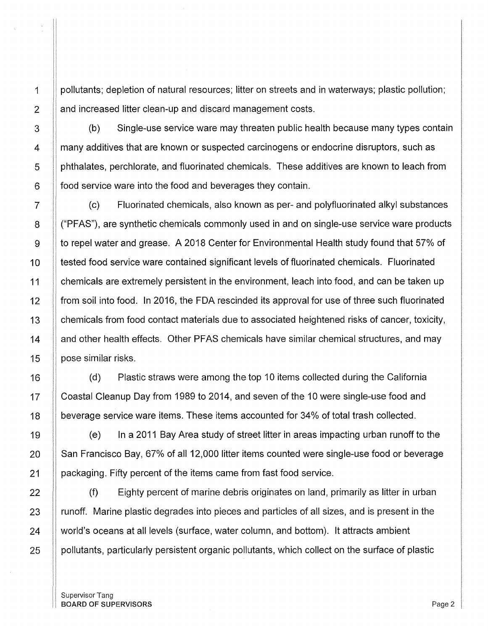1 pollutants; depletion of natural resources; litter on streets and in waterways; plastic pollution; 2 | and increased litter clean-up and discard management costs.

3 | (b) Single-use service ware may threaten public health because many types contain 4 **Frank** many additives that are known or suspected carcinogens or endocrine disruptors, such as 5 phthalates, perchlorate, and fluorinated chemicals. These additives are known to leach from  $6$  || food service ware into the food and beverages they contain.

7 (c) Fluorinated chemicals, also known as per- and polyfluorinated alkyl substances 8  $\parallel$  ("PFAS"), are synthetic chemicals commonly used in and on single-use service ware products 9 | to repel water and grease. A 2018 Center for Environmental Health study found that 57% of 10 tested food service ware contained significant levels of fluorinated chemicals. Fluorinated 11 | chemicals are extremely persistent in the environment, leach into food, and can be taken up 12 | from soil into food. In 2016, the FDA rescinded its approval for use of three such fluorinated 13 | chemicals from food contact materials due to associated heightened risks of cancer, toxicity, 14 **and other health effects. Other PFAS chemicals have similar chemical structures, and may** 15 | pose similar risks.

16 (d) Plastic straws were among the top 10 items collected during the California 17 | Coastal Cleanup Day from 1989 to 2014, and seven of the 10 were single-use food and 18 **beverage service ware items. These items accounted for 34% of total trash collected.** 

19 (e) In a 2011 Bay Area study of street litter in areas impacting urban runoff to the 20 San Francisco Bay, 67% of all 12,000 litter items counted were single-use food or beverage 21 **packaging. Fifty percent of the items came from fast food service.** 

22 **(f)** Eighty percent of marine debris originates on land, primarily as litter in urban 23 | runoff. Marine plastic degrades into pieces and particles of all sizes, and is present in the 24 | world's oceans at all levels (surface, water column, and bottom). It attracts ambient  $25$  || pollutants, particularly persistent organic pollutants, which collect on the surface of plastic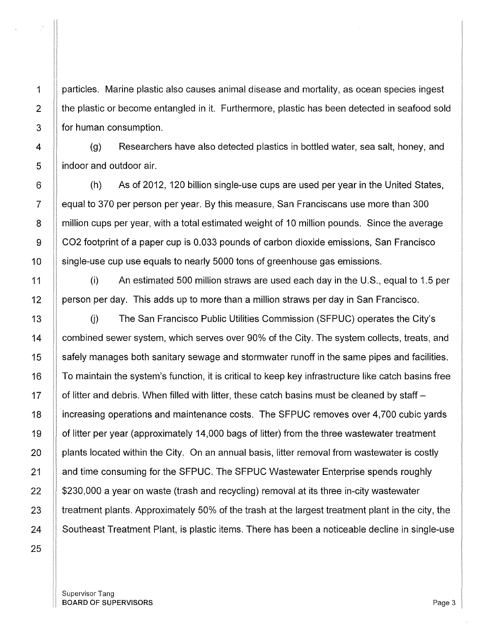1 | particles. Marine plastic also causes animal disease and mortality, as ocean species ingest  $2$  || the plastic or become entangled in it. Furthermore, plastic has been detected in seafood sold 3 **for human consumption.** 

 $\begin{bmatrix} 4 \end{bmatrix}$  (g) Researchers have also detected plastics in bottled water, sea salt, honey, and 5 **i** indoor and outdoor air.

6 (h) As of 2012, 120 billion single-use cups are used per year in the United States, 7 | equal to 370 per person per year. By this measure, San Franciscans use more than 300 8 **If million cups per year, with a total estimated weight of 10 million pounds. Since the average** 9 CO2 footprint of a paper cup is 0.033 pounds of carbon dioxide emissions, San Francisco 10 single-use cup use equals to nearly 5000 tons of greenhouse gas emissions.

11 (i) An estimated 500 million straws are used each day in the U.S., equal to 1.5 per 12 **Francisco** per day. This adds up to more than a million straws per day in San Francisco.

13 The San Francisco Public Utilities Commission (SFPUC) operates the City's 14 | combined sewer system, which serves over 90% of the City. The system collects, treats, and 15 | safely manages both sanitary sewage and stormwater runoff in the same pipes and facilities. 16 To maintain the system's function, it is critical to keep key infrastructure like catch basins free 17  $\parallel$  of litter and debris. When filled with litter, these catch basins must be cleaned by staff – 18 increasing operations and maintenance costs. The SFPUC removes over 4,700 cubic yards 19 | of litter per year (approximately 14,000 bags of litter) from the three wastewater treatment 20 **pants located within the City.** On an annual basis, litter removal from wastewater is costly 21 | and time consuming for the SFPUC. The SFPUC Wastewater Enterprise spends roughly  $22$  | \$230,000 a year on waste (trash and recycling) removal at its three in-city wastewater 23  $\parallel$  treatment plants. Approximately 50% of the trash at the largest treatment plant in the city, the 24 Southeast Treatment Plant, is plastic items. There has been a noticeable decline in single-use

Supervisor Tang BOARD OF SUPERVISORS **Page 3**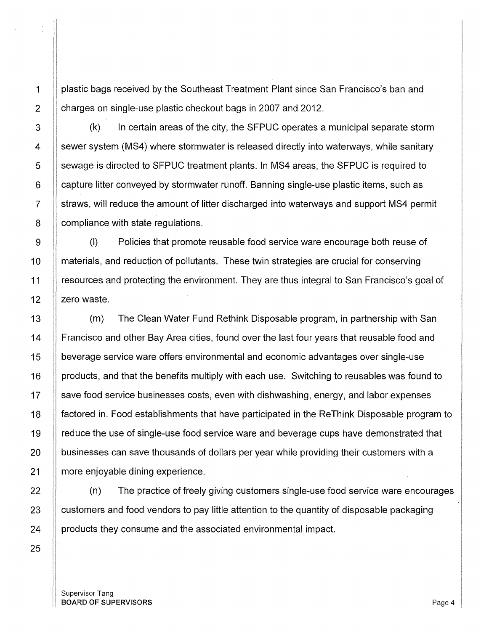1 | plastic bags received by the Southeast Treatment Plant since San Francisco's ban and 2 **charges on single-use plastic checkout bags in 2007 and 2012.** 

3 | (k) In certain areas of the city, the SFPUC operates a municipal separate storm 4 sewer system (MS4) where stormwater is released directly into waterways, while sanitary 5 | sewage is directed to SFPUC treatment plants. In MS4 areas, the SFPUC is required to  $6$  | capture litter conveyed by stormwater runoff. Banning single-use plastic items, such as 7 straws, will reduce the amount of litter discharged into waterways and support MS4 permit 8 **compliance with state regulations.** 

9  $\parallel$  (I) Policies that promote reusable food service ware encourage both reuse of 10 | materials, and reduction of pollutants. These twin strategies are crucial for conserving 11 resources and protecting the environment. They are thus integral to San Francisco's goal of 12  $\parallel$  zero waste.

13 (m) The Clean Water Fund Rethink Disposable program, in partnership with San 14 | Francisco and other Bay Area cities, found over the last four years that reusable food and 15 beverage service ware offers environmental and economic advantages over single-use 16 | products, and that the benefits multiply with each use. Switching to reusables was found to  $17$   $\parallel$  save food service businesses costs, even with dishwashing, energy, and labor expenses 18 factored in. Food establishments that have participated in the ReThink Disposable program to 19 | reduce the use of single-use food service ware and beverage cups have demonstrated that  $20$   $\parallel$  businesses can save thousands of dollars per year while providing their customers with a 21 | more enjoyable dining experience.

22 **(c)** The practice of freely giving customers single-use food service ware encourages 23 **customers and food vendors to pay little attention to the quantity of disposable packaging** 24 | products they consume and the associated environmental impact.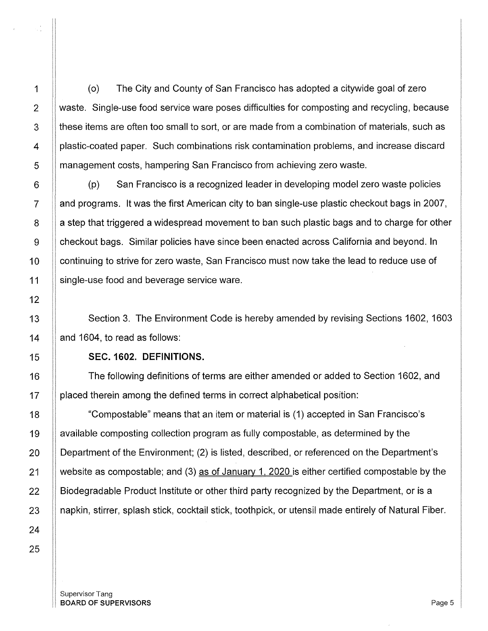1 (o) The City and County of San Francisco has adopted a citywide goal of zero 2 Waste. Single-use food service ware poses difficulties for composting and recycling, because 3 || these items are often too small to sort, or are made from a combination of materials, such as 4 | plastic-coated paper. Such combinations risk contamination problems, and increase discard 5 **I** management costs, hampering San Francisco from achieving zero waste.

6 (p) San Francisco is a recognized leader in developing model zero waste policies  $7 \parallel$  and programs. It was the first American city to ban single-use plastic checkout bags in 2007, 8 a step that triggered a widespread movement to ban such plastic bags and to charge for other 9 checkout bags. Similar policies have since been enacted across California and beyond. In 10 continuing to strive for zero waste, San Francisco must now take the lead to reduce use of 11 single-use food and beverage service ware.

13 **Section 3. The Environment Code is hereby amended by revising Sections 1602, 1603** 14  $\parallel$  and 1604, to read as follows:

### 15 **SEC. 1602. DEFINITIONS.**

16 The following definitions of terms are either amended or added to Section 1602, and 17 placed therein among the defined terms in correct alphabetical position:

18 "Compostable" means that an item or material is (1) accepted in San Francisco's 19 available composting collection program as fully compostable, as determined by the 20 | Department of the Environment; (2) is listed, described, or referenced on the Department's 21  $\parallel$  website as compostable; and (3) as of January 1, 2020 is either certified compostable by the 22 **Biodegradable Product Institute or other third party recognized by the Department, or is a** 23 **II** napkin, stirrer, splash stick, cocktail stick, toothpick, or utensil made entirely of Natural Fiber.

Supervisor Tang **BOARD OF SUPERVISORS** Page 5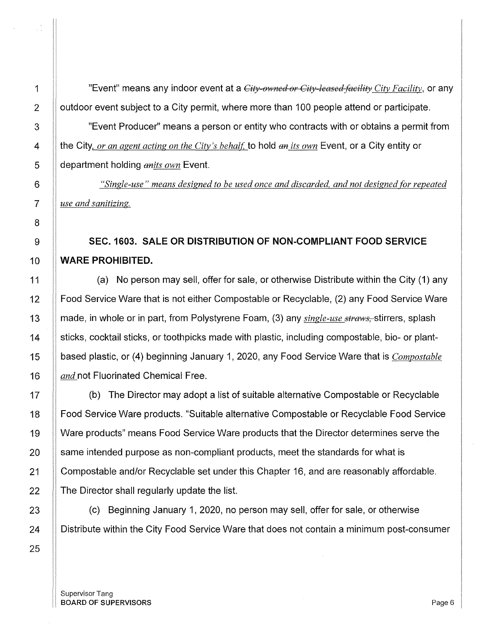1 | "Event" means any indoor event at a *City-owned or City-leased facility City Facility*, or any 2 | outdoor event subject to a City permit, where more than 100 people attend or participate.

3  $\parallel$  "Event Producer" means a person or entity who contracts with or obtains a permit from 4 the City, *or an agent acting on the City's be halt:* to hold *an its own* Event, or a City entity or 5 department holding *anits own* Event.

6 *"Single-use" means designed to be used once and discarded, and not designed for repeated*  7 *use and sanitizing.* 

# 9 **SEC.1603. SALE OR DISTRIBUTION OF NON-COMPLIANT FOOD SERVICE**  10 **WARE PROHIBITED.**

11  $\parallel$  (a) No person may sell, offer for sale, or otherwise Distribute within the City (1) any 12 Food Service Ware that is not either Compostable or Recyclable, (2) any Food Service Ware 13 || made, in whole or in part, from Polystyrene Foam, (3) any *single-use straws*, stirrers, splash 14 sticks, cocktail sticks, or toothpicks made with plastic, including compostable, bio- or plant-15 based plastic, or (4) beginning January 1, 2020, any Food Service Ware that is *Compostable*  16 *and* not Fluorinated Chemical Free.

17 (b) The Director may adopt a list of suitable alternative Compostable or Recyclable 18 Food Service Ware products. "Suitable alternative Compostable or Recyclable Food Service 19 Ware products" means Food Service Ware products that the Director determines serve the 20 **Same intended purpose as non-compliant products, meet the standards for what is** 21 Compostable and/or Recyclable set under this Chapter 16, and are reasonably affordable.  $22$   $\parallel$  The Director shall regularly update the list.

23 (c) Beginning January 1, 2020, no person may sell, offer for sale, or otherwise 24 | Distribute within the City Food Service Ware that does not contain a minimum post-consumer

Supervisor Tang **BOARD OF SUPERVISORS** Page 6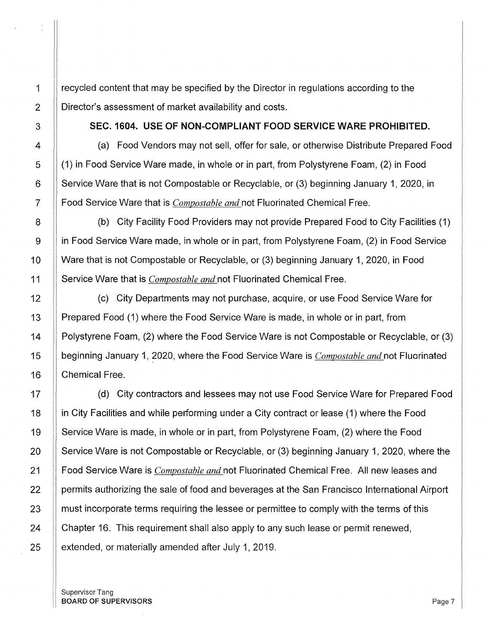1 | recycled content that may be specified by the Director in regulations according to the 2 | Director's assessment of market availability and costs.

3 SEC. 1604. USE OF NON-COMPLIANT FOOD SERVICE WARE PROHIBITED.

4 | (a) Food Vendors may not sell, offer for sale, or otherwise Distribute Prepared Food 5 (1) in Food Service Ware made, in whole or in part, from Polystyrene Foam, (2) in Food 6 Service Ware that is not Compostable or Recyclable, or (3) beginning January 1, 2020, in 7 Food Service Ware that is *Compostable and* not Fluorinated Chemical Free.

8 | (b) City Facility Food Providers may not provide Prepared Food to City Facilities (1) 9 in Food Service Ware made, in whole or in part, from Polystyrene Foam, (2) in Food Service 10 Ware that is not Compostable or Recyclable, or (3) beginning January 1, 2020, in Food 11 Service Ware that is *Compostable and* not Fluorinated Chemical Free.

12 | (c) City Departments may not purchase, acquire, or use Food Service Ware for 13 | Prepared Food (1) where the Food Service Ware is made, in whole or in part, from 14 Polystyrene Foam, (2) where the Food Service Ware is not Compostable or Recyclable, or (3) 15 beginning January 1, 2020, where the Food Service Ware is *Compostable and* not Fluorinated 16 | Chemical Free.

17 | (d) City contractors and lessees may not use Food Service Ware for Prepared Food 18 **i** in City Facilities and while performing under a City contract or lease (1) where the Food 19 Service Ware is made, in whole or in part, from Polystyrene Foam, (2) where the Food 20 Service Ware is not Compostable or Recyclable, or (3) beginning January 1, 2020, where the 21 Food Service Ware is *Compostable and* not Fluorinated Chemical Free. All new leases and 22 | permits authorizing the sale of food and beverages at the San Francisco International Airport 23 | must incorporate terms requiring the lessee or permittee to comply with the terms of this 24 Chapter 16. This requirement shall also apply to any such lease or permit renewed,  $25$  | extended, or materially amended after July 1, 2019.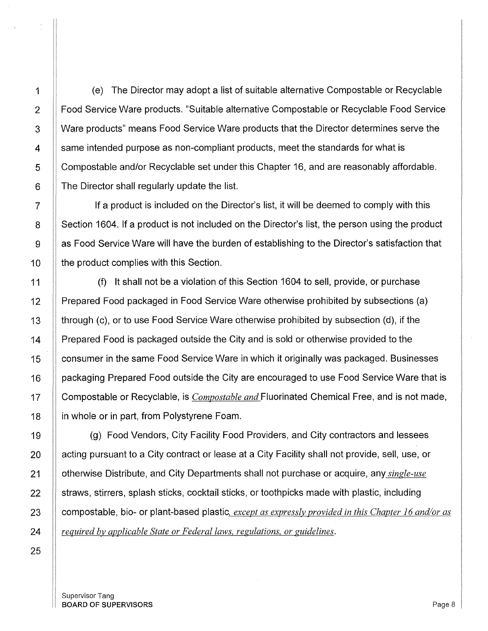1 (e) The Director may adopt a list of suitable alternative Compostable or Recyclable 2 | Food Service Ware products. "Suitable alternative Compostable or Recyclable Food Service 3 Ware products" means Food Service Ware products that the Director determines serve the 4 Same intended purpose as non-compliant products, meet the standards for what is 5 Compostable and/or Recyclable set under this Chapter 16, and are reasonably affordable.  $6$   $\parallel$  The Director shall regularly update the list.

7 II If a product is included on the Director's list, it will be deemed to comply with this 8 Section 1604. If a product is not included on the Director's list, the person using the product  $9 \parallel$  as Food Service Ware will have the burden of establishing to the Director's satisfaction that 10 **the product complies with this Section.** 

11 (f) It shall not be a violation of this Section 1604 to sell, provide, or purchase 12 Prepared Food packaged in Food Service Ware otherwise prohibited by subsections (a) 13 through (c), or to use Food Service Ware otherwise prohibited by subsection (d), if the 14 Prepared Food is packaged outside the City and is sold or otherwise provided to the 15 15 Consumer in the same Food Service Ware in which it originally was packaged. Businesses 16 | packaging Prepared Food outside the City are encouraged to use Food Service Ware that is 17 Compostable or Recyclable, is *Compostable and* Fluorinated Chemical Free, and is not made, 18 **in whole or in part, from Polystyrene Foam.** 

19 **(g)** Food Vendors, City Facility Food Providers, and City contractors and lessees 20 | acting pursuant to a City contract or lease at a City Facility shall not provide, sell, use, or 21 otherwise Distribute, and City Departments shall not purchase or acquire, any *single-use*   $22$   $\parallel$  straws, stirrers, splash sticks, cocktail sticks, or toothpicks made with plastic, including 23 Compostable, bio- or plant-based plastic, *except as expressly provided in this Chapter 16 and/or as* 24 *required by applicable State or Federal laws, regulations, or guidelines.*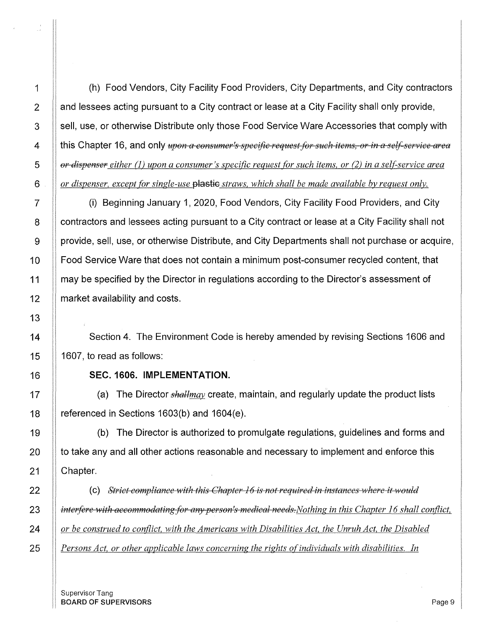1 (h) Food Vendors, City Facility Food Providers, City Departments, and City contractors  $2$  | and lessees acting pursuant to a City contract or lease at a City Facility shall only provide, 3 Sell, use, or otherwise Distribute only those Food Service Ware Accessories that comply with 4 || this Chapter 16, and only *upon a consumer's specific request for such items, or in a self-service area* 5 *or dispenser either (1) upon a consumer's specific request for such items, or (2) in a self-service area* $\frac{1}{2}$ 6 *or dispenser, except {or single-use* plastic *straws, which shall be made available by request only.* 

7 (i) Beginning January 1, 2020, Food Vendors, City Facility Food Providers, and City 8 | contractors and lessees acting pursuant to a City contract or lease at a City Facility shall not 9 | provide, sell, use, or otherwise Distribute, and City Departments shall not purchase or acquire, 10 **Food Service Ware that does not contain a minimum post-consumer recycled content, that** 11 | may be specified by the Director in regulations according to the Director's assessment of 12 **market availability and costs.** 

14 **Section 4. The Environment Code is hereby amended by revising Sections 1606 and** 15  $\parallel$  1607, to read as follows:

### 16 **SEC. 1606. IMPLEMENTATION.**

17 | (a) The Director *shallmay* create, maintain, and regularly update the product lists 18  $\parallel$  referenced in Sections 1603(b) and 1604(e).

19 (b) The Director is authorized to promulgate regulations, guidelines and forms and  $20$  || to take any and all other actions reasonable and necessary to implement and enforce this 21 || Chapter.

22 (c) *Strict compliance with this Chapter 16 is not required in instances where it would interfere with accommodating for any person's medical needs. Nothing in this Chapter 16 shall conflict, or be construed to conflict, with the Americans with Disabilities Act, the Unruh Act, the Disabled Persons Act, or other applicable laws concerning the rights of individuals with disabilities. In* **2015**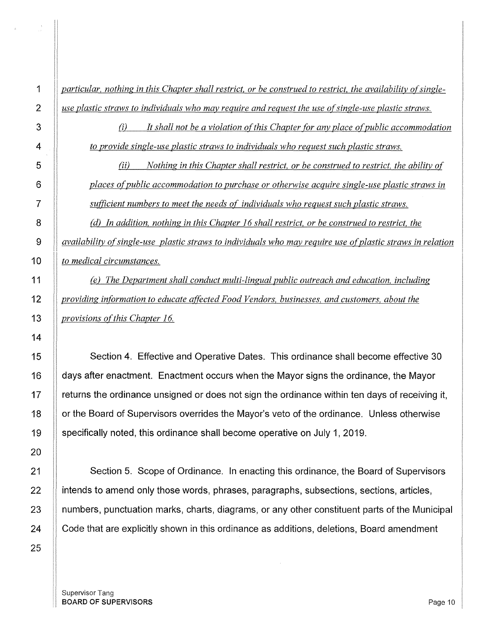1 || particular, nothing in this Chapter shall restrict, or be construed to restrict, the availability of single-2 *use plastic straws to individuals who may require and request the use ofsingle-use plastic straws.* 

> *(i) It shall not be a violation ofthis Chapter (or any place ofpublic accommodation to provide single-use plastic straws to individuals who request such plastic straws.*

(ii) *Nothing in this Chapter shall restrict, or be construed to restrict, the ability of*  6 *places ofpublic accommodation to purchase or otherwise acquire single-use plastic straws in*  7 *sufficient numbers to meet the needs of individuals who request such plastic straws.* 

8 **(d)** In addition, nothing in this Chapter 16 shall restrict, or be construed to restrict, the 9 *availability ofsingle-use plastic straws to individuals who may require use ofplastic straws in relation*  10 *to medical circumstances.* 

11 *(e) The Department shall conduct multi-lingual public outreach and education, including*  12 *providing information to educate affected Food Vendors, businesses, and customers, about the*  13 *provisions of this Chapter 16.* 

15 Section 4. Effective and Operative Dates. This ordinance shall become effective 30 16 days after enactment. Enactment occurs when the Mayor signs the ordinance, the Mayor  $17$  || returns the ordinance unsigned or does not sign the ordinance within ten days of receiving it, 18 | or the Board of Supervisors overrides the Mayor's veto of the ordinance. Unless otherwise 19 specifically noted, this ordinance shall become operative on July 1, 2019.

21 | Section 5. Scope of Ordinance. In enacting this ordinance, the Board of Supervisors  $22$  || intends to amend only those words, phrases, paragraphs, subsections, sections, articles, 23 | numbers, punctuation marks, charts, diagrams, or any other constituent parts of the Municipal 24 | Code that are explicitly shown in this ordinance as additions, deletions, Board amendment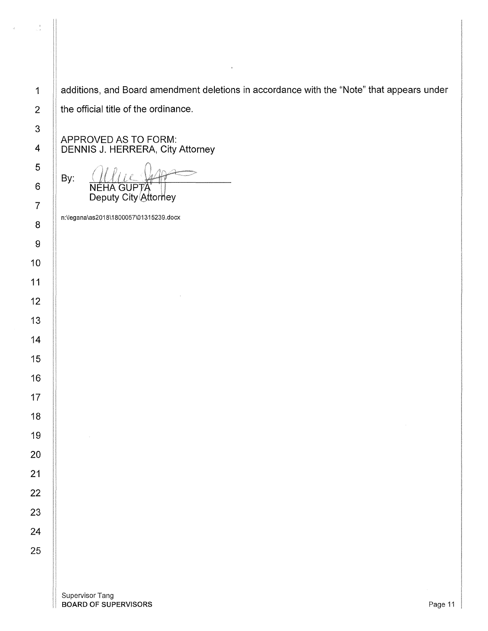$\frac{1}{2}$ 

1 | additions, and Board amendment deletions in accordance with the "Note" that appears under 2  $\parallel$  the official title of the ordinance.

APPROVED AS TO FORM: 4 DENNIS J. HERRERA, City Attorney

By: **GUPTA NFHA** Deputy City Attorney

n:\legana\as2018\1800057\01315239.docx